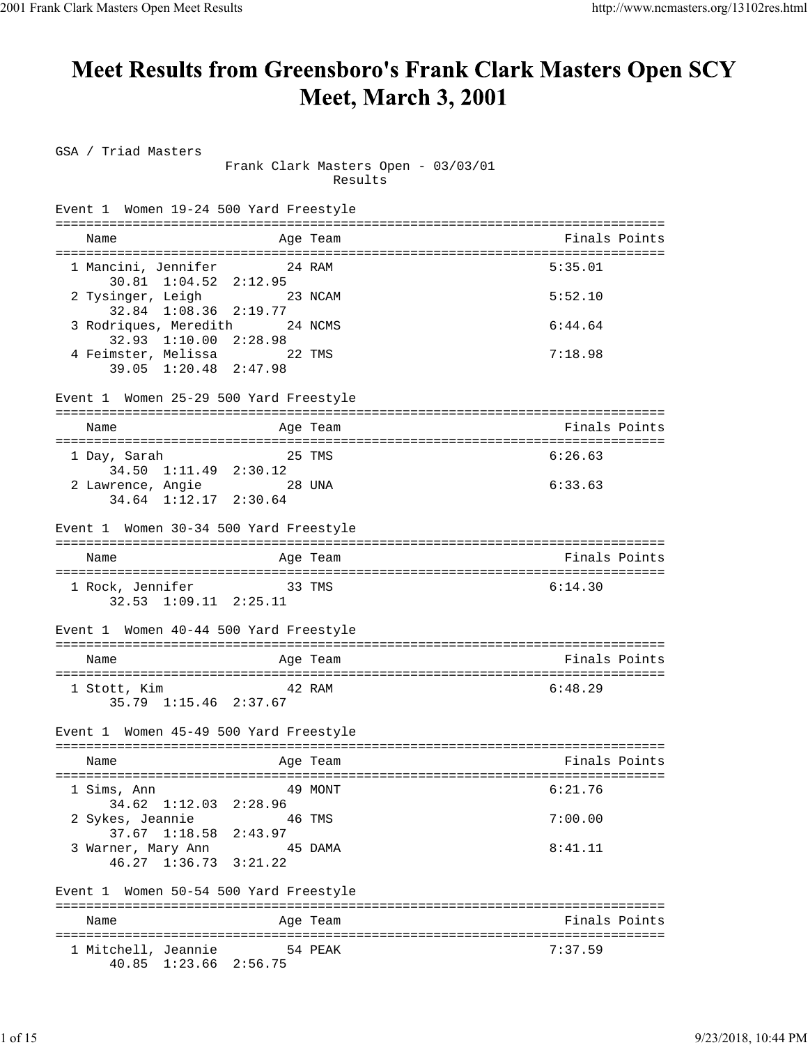## **Meet Results from Greensboro's Frank Clark Masters Open SCY Meet, March 3, 2001**

GSA / Triad Masters Frank Clark Masters Open - 03/03/01 Results Event 1 Women 19-24 500 Yard Freestyle =============================================================================== Name Age Team Age Team Finals Points =============================================================================== 1 Mancini, Jennifer 24 RAM 5:35.01 30.81 1:04.52 2:12.95 2 Tysinger, Leigh 23 NCAM 5:52.10 32.84 1:08.36 2:19.77 3 Rodriques, Meredith 24 NCMS 6:44.64 32.93 1:10.00 2:28.98 4 Feimster, Melissa 22 TMS 7:18.98 39.05 1:20.48 2:47.98 Event 1 Women 25-29 500 Yard Freestyle =============================================================================== Name Age Team Finals Points =============================================================================== 1 Day, Sarah 25 TMS 6:26.63 34.50 1:11.49 2:30.12<br>wrence, Angie 28 UNA 2 Lawrence, Angie 28 UNA 6:33.63 34.64 1:12.17 2:30.64 Event 1 Women 30-34 500 Yard Freestyle =============================================================================== Name **Age Team** Age Team Finals Points =============================================================================== 1 Rock, Jennifer 33 TMS 6:14.30 32.53 1:09.11 2:25.11 Event 1 Women 40-44 500 Yard Freestyle =============================================================================== Name **Age Team** Age Team Finals Points =============================================================================== 1 Stott, Kim 42 RAM 6:48.29 35.79 1:15.46 2:37.67 Event 1 Women 45-49 500 Yard Freestyle =============================================================================== Name **Age Team** Age Team Finals Points =============================================================================== 1 Sims, Ann 49 MONT 6:21.76 34.62 1:12.03 2:28.96 2 Sykes, Jeannie 46 TMS 7:00.00 37.67 1:18.58 2:43.97 3 Warner, Mary Ann 45 DAMA 8:41.11 46.27 1:36.73 3:21.22 Event 1 Women 50-54 500 Yard Freestyle =============================================================================== Name **Age Team** Age Team Finals Points =============================================================================== 1 Mitchell, Jeannie 54 PEAK 7:37.59 40.85 1:23.66 2:56.75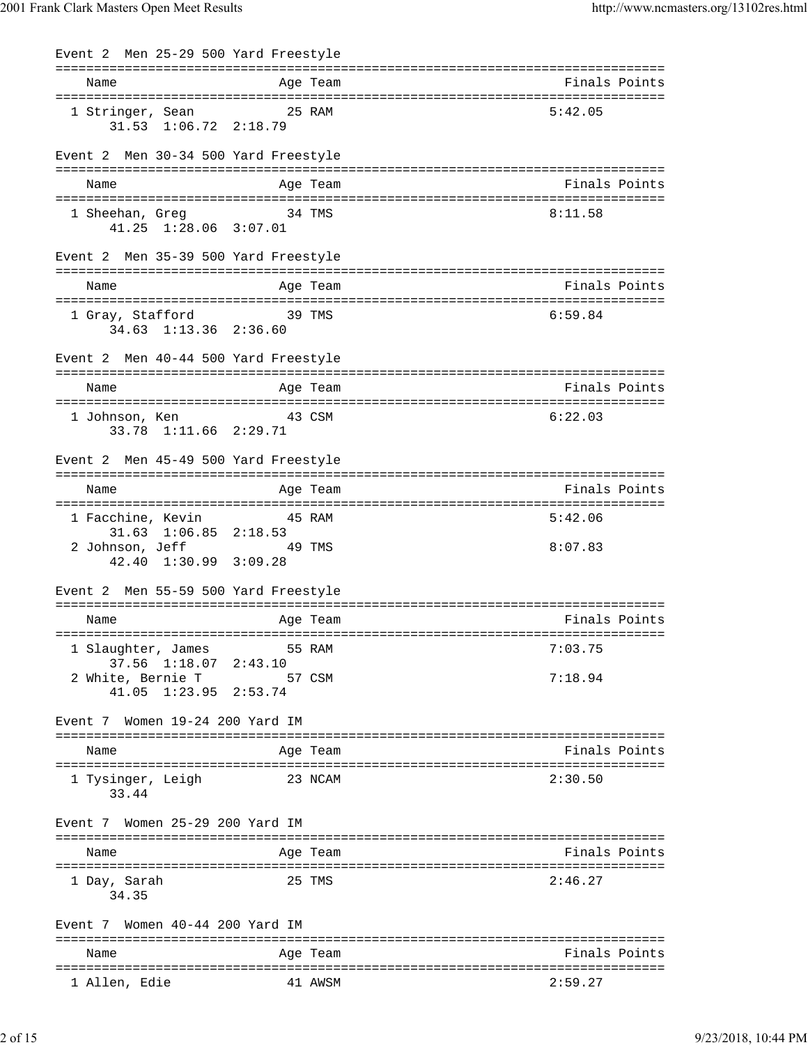| Event 2 Men 25-29 500 Yard Freestyle |                                                      |          |               |
|--------------------------------------|------------------------------------------------------|----------|---------------|
| Name                                 |                                                      | Age Team | Finals Points |
| 1 Stringer, Sean 25 RAM              | $31.53$ $1:06.72$ $2:18.79$                          |          | 5:42.05       |
| Event 2 Men 30-34 500 Yard Freestyle |                                                      |          |               |
| Name                                 |                                                      | Age Team | Finals Points |
| 1 Sheehan, Greg 34 TMS               | 41.25 1:28.06 3:07.01                                |          | 8:11.58       |
| Event 2 Men 35-39 500 Yard Freestyle |                                                      |          |               |
| Name                                 |                                                      | Age Team | Finals Points |
| 1 Gray, Stafford                     | <b>39 TMS</b><br>34.63 1:13.36 2:36.60               |          | 6:59.84       |
| Event 2 Men 40-44 500 Yard Freestyle |                                                      |          |               |
| Name                                 |                                                      | Age Team | Finals Points |
| 1 Johnson, Ken                       | 43 CSM<br>33.78 1:11.66 2:29.71                      |          | 6:22.03       |
| Event 2 Men 45-49 500 Yard Freestyle |                                                      |          |               |
| Name                                 |                                                      | Age Team | Finals Points |
| 1 Facchine, Kevin 15 RAM             |                                                      |          | 5:42.06       |
| 2 Johnson, Jeff 49 TMS               | $31.63$ $1:06.85$ $2:18.53$<br>42.40 1:30.99 3:09.28 |          | 8:07.83       |
| Event 2 Men 55-59 500 Yard Freestyle |                                                      |          |               |
| Name                                 |                                                      | Age Team | Finals Points |
| 1 Slaughter, James                   |                                                      | 55 RAM   | 7:03.75       |
| 2 White, Bernie T                    | 37.56 1:18.07 2:43.10<br>41.05 1:23.95 2:53.74       | 57 CSM   | 7:18.94       |
| Event 7 Women 19-24 200 Yard IM      |                                                      |          |               |
| Name                                 |                                                      | Age Team | Finals Points |
| 1 Tysinger, Leigh<br>33.44           |                                                      | 23 NCAM  | 2:30.50       |
| Event 7 Women 25-29 200 Yard IM      |                                                      |          |               |
| Name                                 |                                                      | Age Team | Finals Points |
| 1 Day, Sarah<br>34.35                |                                                      | 25 TMS   | 2:46.27       |
| Event 7 Women 40-44 200 Yard IM      |                                                      |          |               |
| Name                                 |                                                      | Age Team | Finals Points |
| 1 Allen, Edie                        |                                                      | 41 AWSM  | 2:59.27       |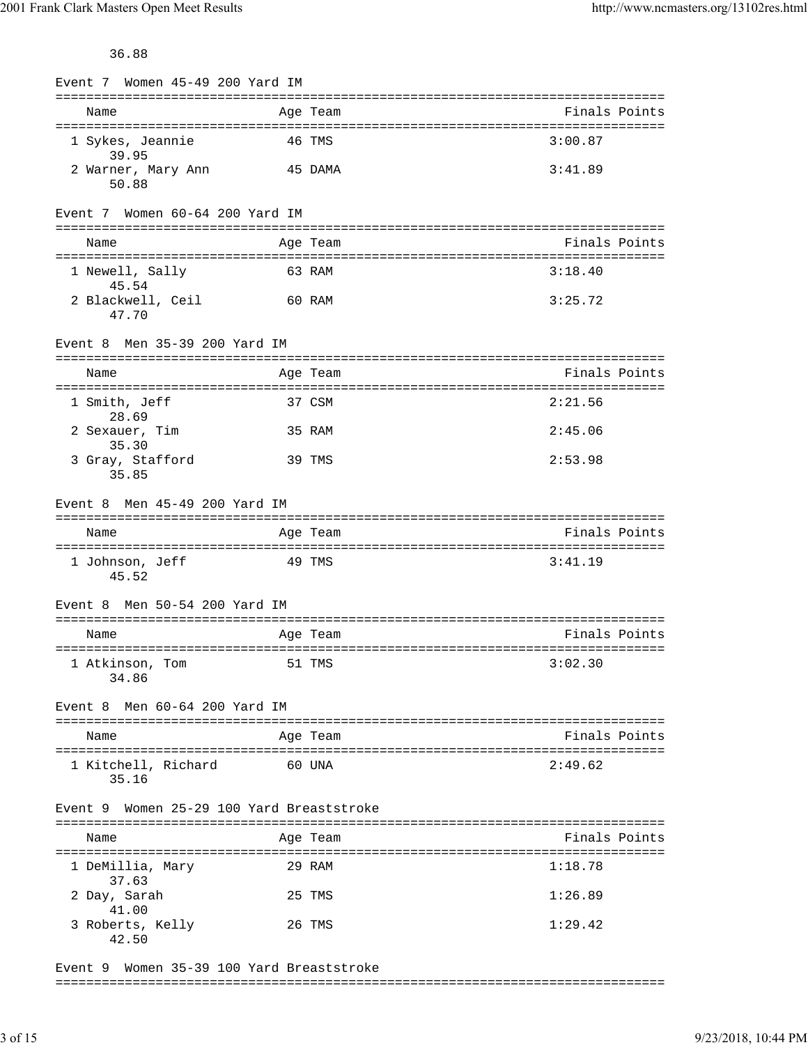36.88

|                                           | Event 7 Women 45-49 200 Yard IM |          |               |
|-------------------------------------------|---------------------------------|----------|---------------|
| Name                                      |                                 | Age Team | Finals Points |
| 1 Sykes, Jeannie<br>39.95                 |                                 | 46 TMS   | 3:00.87       |
| 2 Warner, Mary Ann<br>50.88               |                                 | 45 DAMA  | 3:41.89       |
| Event 7 Women 60-64 200 Yard IM           |                                 |          |               |
| Name                                      |                                 | Age Team | Finals Points |
| 1 Newell, Sally<br>45.54                  |                                 | 63 RAM   | 3:18.40       |
| 2 Blackwell, Ceil<br>47.70                | 60 RAM                          |          | 3:25.72       |
| Men 35-39 200 Yard IM<br>Event 8          |                                 |          |               |
| Name                                      |                                 | Age Team | Finals Points |
| 1 Smith, Jeff<br>28.69                    |                                 | 37 CSM   | 2:21.56       |
| 2 Sexauer, Tim<br>35.30                   |                                 | 35 RAM   | 2:45.06       |
| 3 Gray, Stafford<br>35.85                 |                                 | 39 TMS   | 2:53.98       |
| Event 8 Men 45-49 200 Yard IM             |                                 |          |               |
| Name                                      |                                 | Age Team | Finals Points |
| 1 Johnson, Jeff<br>45.52                  |                                 | 49 TMS   | 3:41.19       |
| Men 50-54 200 Yard IM<br>Event 8          |                                 |          |               |
| Name                                      |                                 | Age Team |               |
|                                           |                                 |          | Finals Points |
| 1 Atkinson, Tom<br>34.86                  | 51 TMS                          |          | 3:02.30       |
| Men 60-64 200 Yard IM<br>Event 8          |                                 |          |               |
| Name                                      |                                 | Age Team | Finals Points |
| 1 Kitchell, Richard<br>35.16              |                                 | 60 UNA   | 2:49.62       |
| Event 9 Women 25-29 100 Yard Breaststroke |                                 |          |               |
| Name                                      |                                 | Age Team | Finals Points |
| 1 DeMillia, Mary                          |                                 | 29 RAM   | 1:18.78       |
| 37.63<br>2 Day, Sarah<br>41.00            |                                 | 25 TMS   | 1:26.89       |

Event 9 Women 35-39 100 Yard Breaststroke ===============================================================================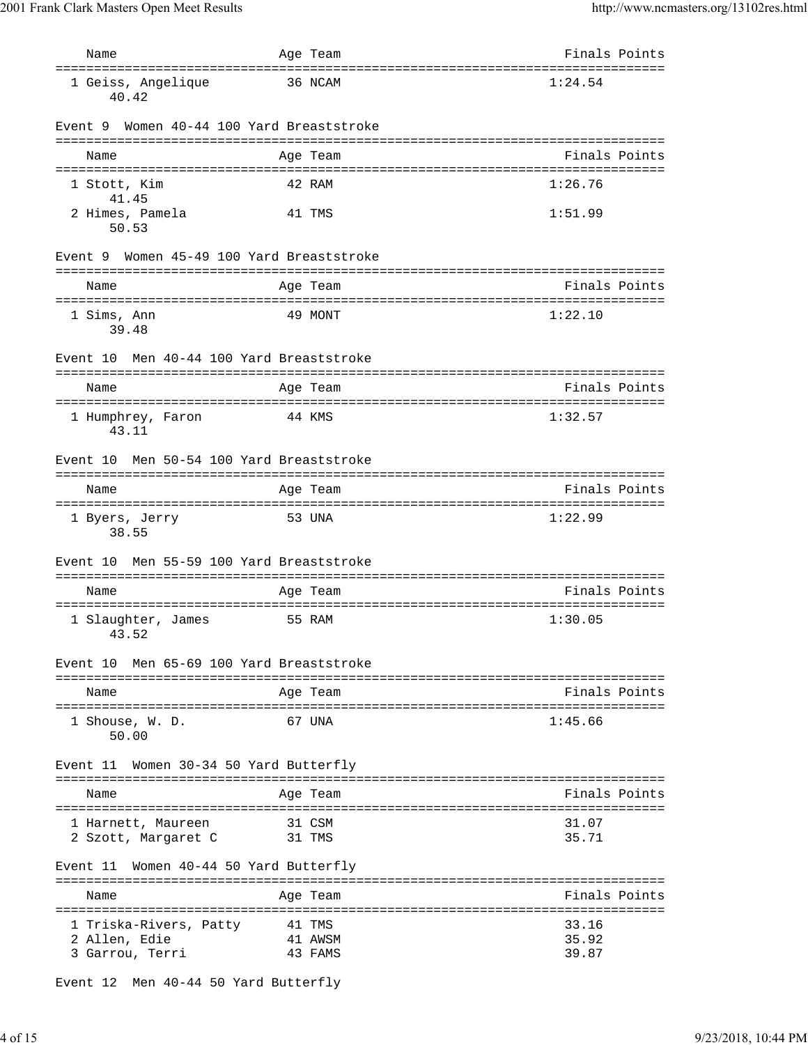| Name                                                       | Age Team                          | Finals Points                                    |
|------------------------------------------------------------|-----------------------------------|--------------------------------------------------|
| 1 Geiss, Angelique<br>40.42                                | 36 NCAM                           | 1:24.54                                          |
| Event 9 Women 40-44 100 Yard Breaststroke                  |                                   |                                                  |
| Name                                                       | Age Team                          | Finals Points                                    |
| 1 Stott, Kim<br>41.45                                      | 42 RAM                            | 1:26.76                                          |
| 2 Himes, Pamela<br>50.53                                   | 41 TMS                            | 1:51.99                                          |
| Event 9                                                    | Women 45-49 100 Yard Breaststroke |                                                  |
| Name                                                       | Age Team                          | Finals Points                                    |
| 1 Sims, Ann<br>39.48                                       | 49 MONT                           | 1:22.10                                          |
| Event 10                                                   | Men 40-44 100 Yard Breaststroke   |                                                  |
| Name                                                       | Age Team                          | Finals Points                                    |
| 1 Humphrey, Faron<br>43.11                                 | 44 KMS                            | 1:32.57                                          |
| Event 10                                                   | Men 50-54 100 Yard Breaststroke   |                                                  |
| Name                                                       | Age Team                          | Finals Points                                    |
| 1 Byers, Jerry<br>38.55                                    | 53 UNA                            | 1:22.99                                          |
| Event 10                                                   | Men 55-59 100 Yard Breaststroke   |                                                  |
| Name                                                       | Age Team                          | Finals Points                                    |
| 1 Slaughter, James<br>43.52                                | 55 RAM                            | =====================================<br>1:30.05 |
| Event 10 Men 65-69 100 Yard Breaststroke                   |                                   |                                                  |
| Name                                                       | Age Team                          | Finals Points                                    |
| 1 Shouse, W. D.<br>50.00                                   | 67 UNA                            | 1:45.66                                          |
| Event 11                                                   | Women 30-34 50 Yard Butterfly     |                                                  |
| Name                                                       | Age Team                          | Finals Points                                    |
| 1 Harnett, Maureen<br>2 Szott, Margaret C                  | 31 CSM<br>31 TMS                  | 31.07<br>35.71                                   |
| Event 11                                                   | Women 40-44 50 Yard Butterfly     |                                                  |
| Name                                                       | Age Team                          | Finals Points                                    |
| 1 Triska-Rivers, Patty<br>2 Allen, Edie<br>3 Garrou, Terri | 41 TMS<br>41 AWSM<br>43 FAMS      | 33.16<br>35.92<br>39.87                          |

Event 12 Men 40-44 50 Yard Butterfly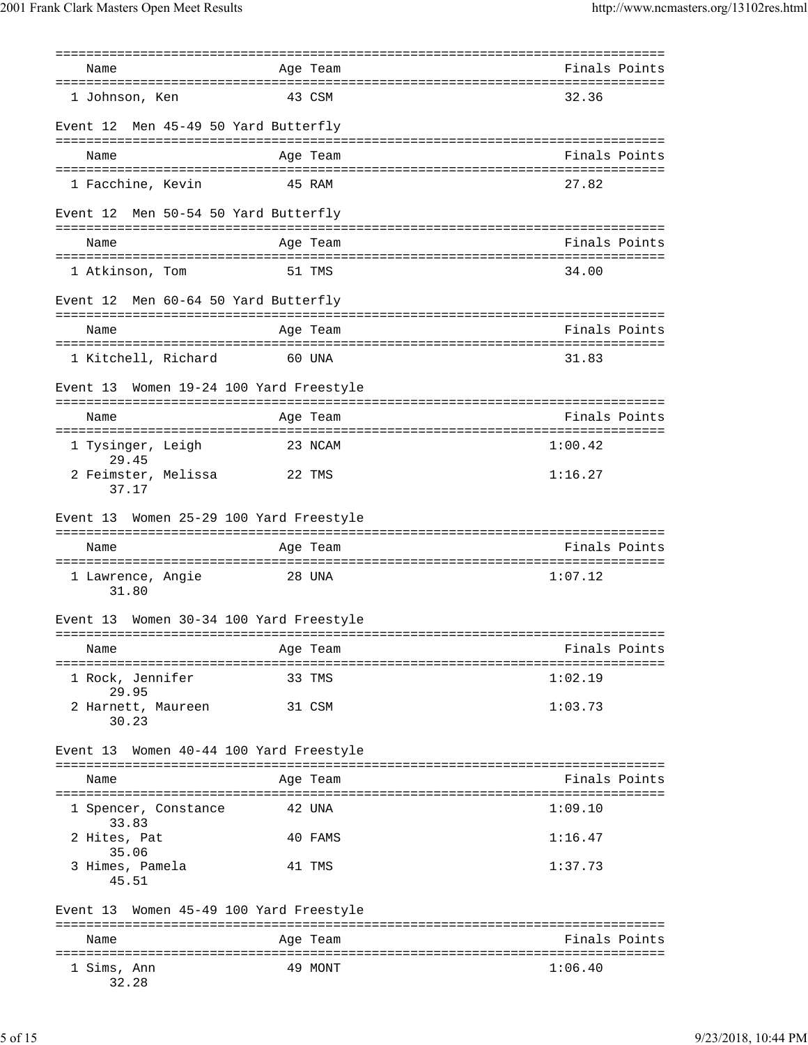|                                            | ================ |               |
|--------------------------------------------|------------------|---------------|
| Name                                       | Age Team         | Finals Points |
| 1 Johnson, Ken                             | 43 CSM           | 32.36         |
| Men 45-49 50 Yard Butterfly<br>Event 12    |                  |               |
|                                            |                  |               |
| Name                                       | Age Team         | Finals Points |
| 1 Facchine, Kevin                          | 45 RAM           | 27.82         |
| Men 50-54 50 Yard Butterfly<br>Event 12    |                  |               |
| Name                                       | Age Team         | Finals Points |
| 1 Atkinson, Tom                            | 51 TMS           | 34.00         |
| Men 60-64 50 Yard Butterfly<br>Event 12    |                  |               |
|                                            |                  |               |
| Name                                       | Age Team         | Finals Points |
| 1 Kitchell, Richard                        | 60 UNA           | 31.83         |
| Event 13 Women 19-24 100 Yard Freestyle    |                  |               |
| Name                                       | Age Team         | Finals Points |
|                                            |                  |               |
| 1 Tysinger, Leigh<br>29.45                 | 23 NCAM          | 1:00.42       |
| 2 Feimster, Melissa 22 TMS<br>37.17        |                  | 1:16.27       |
| Women 25-29 100 Yard Freestyle<br>Event 13 |                  |               |
|                                            |                  |               |
| Name                                       | Age Team         | Finals Points |
|                                            |                  |               |
| 1 Lawrence, Angie<br>31.80                 | 28 UNA           | 1:07.12       |
| Women 30-34 100 Yard Freestyle<br>Event 13 |                  |               |
| Name                                       | Age Team         | Finals Points |
| 1 Rock, Jennifer                           | 33 TMS           | 1:02.19       |
| 29.95<br>2 Harnett, Maureen                | 31 CSM           | 1:03.73       |
| 30.23                                      |                  |               |
| Event 13 Women 40-44 100 Yard Freestyle    |                  |               |
| Name                                       | Age Team         | Finals Points |
| 1 Spencer, Constance<br>33.83              | 42 UNA           | 1:09.10       |
| 2 Hites, Pat<br>35.06                      | 40 FAMS          | 1:16.47       |
| 3 Himes, Pamela<br>45.51                   | 41 TMS           | 1:37.73       |
| Event 13 Women 45-49 100 Yard Freestyle    |                  |               |
| Name                                       | Age Team         | Finals Points |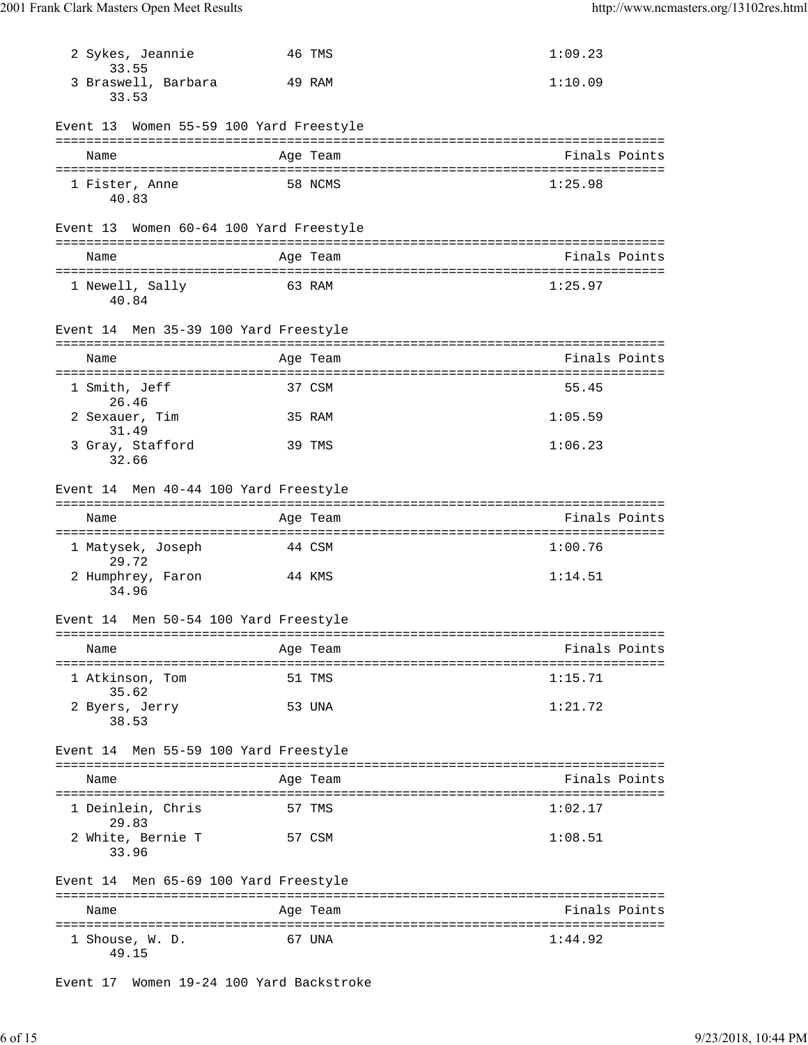| 2 Sykes, Jeannie<br>33.55               | 46 TMS   | 1:09.23       |
|-----------------------------------------|----------|---------------|
| 3 Braswell, Barbara<br>33.53            | 49 RAM   | 1:10.09       |
| Event 13 Women 55-59 100 Yard Freestyle |          |               |
| Name                                    | Age Team | Finals Points |
| 1 Fister, Anne<br>40.83                 | 58 NCMS  | 1:25.98       |
| Event 13 Women 60-64 100 Yard Freestyle |          |               |
| Name                                    | Age Team | Finals Points |
| 1 Newell, Sally<br>40.84                | 63 RAM   | 1:25.97       |
| Event 14 Men 35-39 100 Yard Freestyle   |          |               |
| Name                                    | Age Team | Finals Points |
| 1 Smith, Jeff<br>26.46                  | 37 CSM   | 55.45         |
| 2 Sexauer, Tim<br>31.49                 | 35 RAM   | 1:05.59       |
| 3 Gray, Stafford<br>32.66               | 39 TMS   | 1:06.23       |
| Event 14 Men 40-44 100 Yard Freestyle   |          |               |
| Name                                    | Age Team | Finals Points |
|                                         |          |               |
| 1 Matysek, Joseph<br>29.72              | 44 CSM   | 1:00.76       |
| 2 Humphrey, Faron<br>34.96              | 44 KMS   | 1:14.51       |
| Event 14 Men 50-54 100 Yard Freestyle   |          |               |
| Name                                    | Age Team | Finals Points |
|                                         |          |               |
| 1 Atkinson, Tom<br>35.62                | 51 TMS   | 1:15.71       |
| 2 Byers, Jerry<br>38.53                 | 53 UNA   | 1:21.72       |
| Event 14 Men 55-59 100 Yard Freestyle   |          |               |
| Name                                    | Age Team | Finals Points |
| 1 Deinlein, Chris<br>29.83              | 57 TMS   | 1:02.17       |
| 2 White, Bernie T<br>33.96              | 57 CSM   | 1:08.51       |
| Event 14 Men 65-69 100 Yard Freestyle   |          |               |
| Name                                    | Age Team | Finals Points |
| 1 Shouse, W. D.<br>49.15                | 67 UNA   | 1:44.92       |

Event 17 Women 19-24 100 Yard Backstroke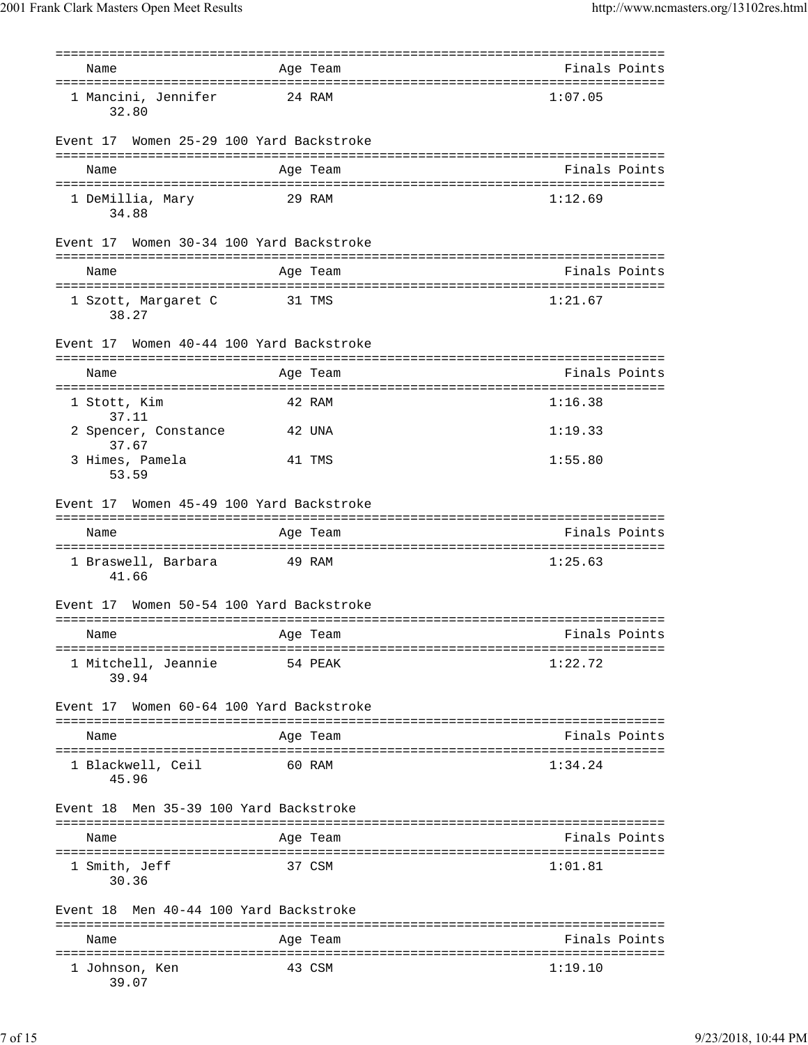| Name                                         | Age Team                        | Finals Points                        |
|----------------------------------------------|---------------------------------|--------------------------------------|
| 1 Mancini, Jennifer<br>32.80                 | 24 RAM                          | 1:07.05                              |
| Event 17                                     | Women 25-29 100 Yard Backstroke |                                      |
| Name                                         | Age Team                        | Finals Points                        |
| 1 DeMillia, Mary<br>34.88                    | 29 RAM                          | 1:12.69                              |
| Event 17 Women 30-34 100 Yard Backstroke     |                                 |                                      |
| Name                                         | Age Team                        | Finals Points                        |
| 1 Szott, Margaret C<br>38.27                 | 31 TMS                          | 1:21.67                              |
| Event 17                                     | Women 40-44 100 Yard Backstroke |                                      |
| Name                                         | Age Team                        | Finals Points                        |
| 1 Stott, Kim                                 | 42 RAM                          | 1:16.38                              |
| 37.11<br>2 Spencer, Constance                | 42 UNA                          | 1:19.33                              |
| 37.67<br>3 Himes, Pamela<br>53.59            | 41 TMS                          | 1:55.80                              |
| Event 17                                     | Women 45-49 100 Yard Backstroke |                                      |
| Name                                         | Age Team                        | Finals Points                        |
| 1 Braswell, Barbara<br>41.66                 | 49 RAM                          | 1:25.63                              |
| Event 17                                     | Women 50-54 100 Yard Backstroke |                                      |
| Name                                         | Age Team                        | Finals Points                        |
| 1 Mitchell, Jeannie<br>39.94                 | 54 PEAK                         | 1:22.72                              |
| Event 17                                     | Women 60-64 100 Yard Backstroke |                                      |
| Name                                         | Age Team                        | Finals Points                        |
| 1 Blackwell, Ceil<br>45.96                   | 60 RAM                          | 1:34.24                              |
| Event 18                                     | Men 35-39 100 Yard Backstroke   |                                      |
| Name                                         | Age Team                        | Finals Points                        |
| ==================<br>1 Smith, Jeff<br>30.36 | -------------<br>37 CSM         | =========================<br>1:01.81 |
| Event 18                                     | Men 40-44 100 Yard Backstroke   |                                      |
| Name                                         | Age Team                        | Finals Points                        |
| 1 Johnson, Ken<br>39.07                      | 43 CSM                          | 1:19.10                              |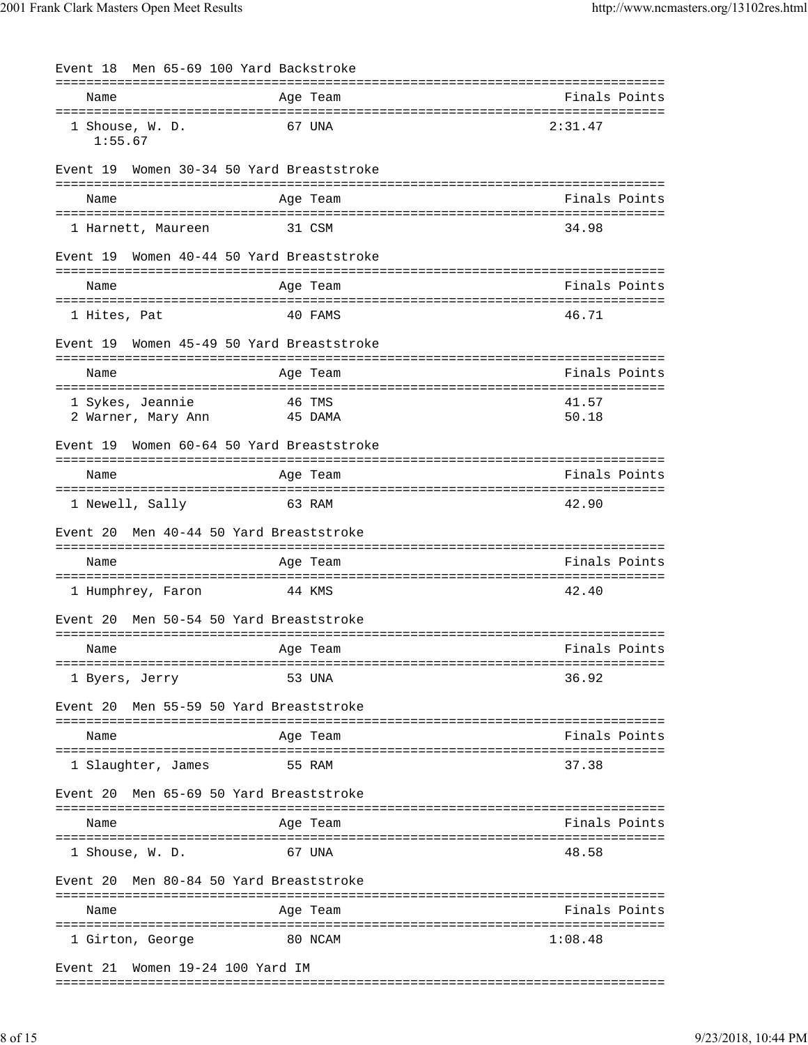| Event 18 Men 65-69 100 Yard Backstroke       |                   |         |                |
|----------------------------------------------|-------------------|---------|----------------|
| Name                                         | Age Team          |         | Finals Points  |
| 1 Shouse, W. D.<br>1:55.67                   | 67 UNA            |         | 2:31.47        |
| Women 30-34 50 Yard Breaststroke<br>Event 19 |                   |         |                |
| Name                                         | Age Team          |         | Finals Points  |
| 1 Harnett, Maureen                           | 31 CSM            |         | 34.98          |
| Event 19 Women 40-44 50 Yard Breaststroke    |                   |         |                |
| Name                                         | Age Team          |         | Finals Points  |
| 1 Hites, Pat                                 | 40 FAMS           |         | 46.71          |
| Women 45-49 50 Yard Breaststroke<br>Event 19 |                   |         |                |
| Name                                         | Age Team          |         | Finals Points  |
| 1 Sykes, Jeannie<br>2 Warner, Mary Ann       | 46 TMS<br>45 DAMA |         | 41.57<br>50.18 |
| Women 60-64 50 Yard Breaststroke<br>Event 19 |                   |         |                |
| Name                                         | Age Team          |         | Finals Points  |
| 1 Newell, Sally                              | 63 RAM            |         | 42.90          |
| Men 40-44 50 Yard Breaststroke<br>Event 20   |                   |         |                |
| Name                                         | Age Team          |         | Finals Points  |
| 1 Humphrey, Faron                            | 44 KMS            |         | 42.40          |
| Men 50-54 50 Yard Breaststroke<br>Event 20   |                   |         |                |
| Name                                         | Age Team          |         | Finals Points  |
| 1 Byers, Jerry                               | 53 UNA            |         | 36.92          |
| Men 55-59 50 Yard Breaststroke<br>Event 20   |                   |         |                |
| Name                                         | Aqe Team          |         | Finals Points  |
| 1 Slaughter, James                           | 55 RAM            |         | 37.38          |
| Men 65-69 50 Yard Breaststroke<br>Event 20   |                   |         |                |
| Name                                         | Age Team          |         | Finals Points  |
| 1 Shouse, W. D.                              | 67 UNA            |         | 48.58          |
| Men 80-84 50 Yard Breaststroke<br>Event 20   |                   |         |                |
| Name                                         | Age Team          |         | Finals Points  |
| 1 Girton, George                             |                   | 80 NCAM | 1:08.48        |
| Event 21 Women 19-24 100 Yard IM             |                   |         |                |

===============================================================================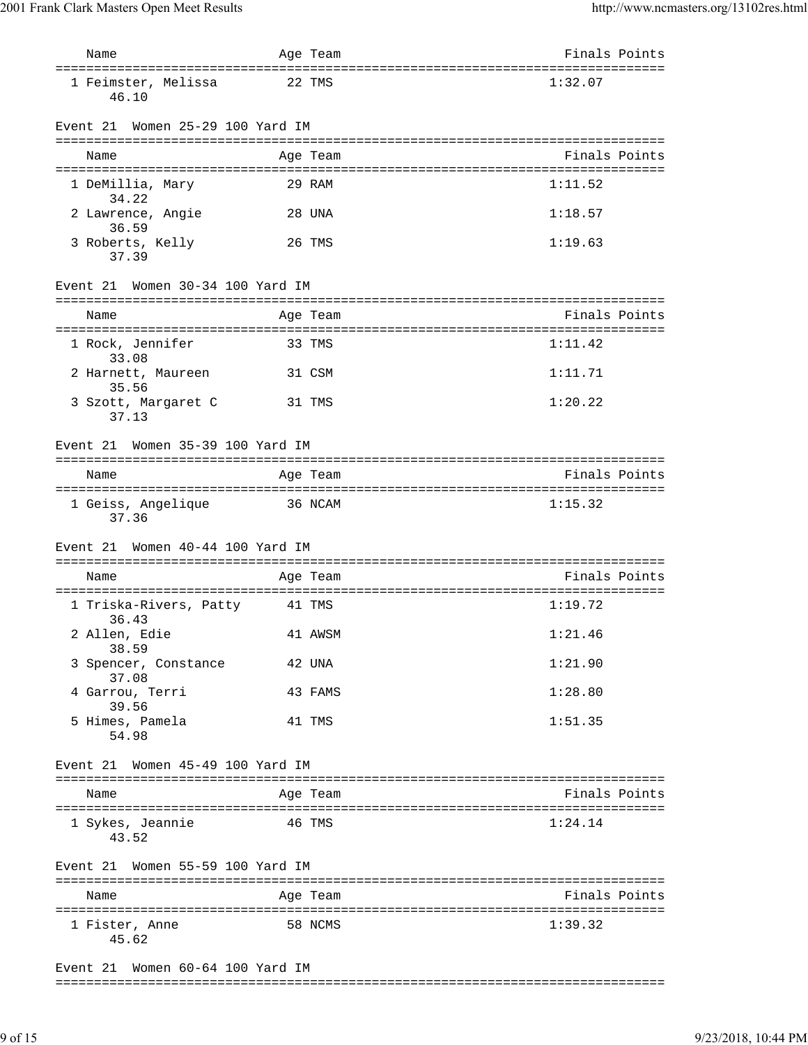| Name                                | Age Team | Finals Points |
|-------------------------------------|----------|---------------|
| 1 Feimster, Melissa<br>46.10        | 22 TMS   | 1:32.07       |
| Women 25-29 100 Yard IM<br>Event 21 |          |               |
| Name                                | Age Team | Finals Points |
| 1 DeMillia, Mary<br>34.22           | 29 RAM   | 1:11.52       |
| 2 Lawrence, Angie<br>36.59          | 28 UNA   | 1:18.57       |
| 3 Roberts, Kelly<br>37.39           | 26 TMS   | 1:19.63       |
| Women 30-34 100 Yard IM<br>Event 21 |          |               |
| Name                                | Age Team | Finals Points |
| 1 Rock, Jennifer<br>33.08           | 33 TMS   | 1:11.42       |
| 2 Harnett, Maureen<br>35.56         | 31 CSM   | 1:11.71       |
| 3 Szott, Margaret C<br>37.13        | 31 TMS   | 1:20.22       |
| Women 35-39 100 Yard IM<br>Event 21 |          |               |
| Name                                | Age Team | Finals Points |
| 1 Geiss, Angelique<br>37.36         | 36 NCAM  | 1:15.32       |
| Women 40-44 100 Yard IM<br>Event 21 |          |               |
| Name                                | Age Team | Finals Points |
| 1 Triska-Rivers, Patty<br>36.43     | 41 TMS   | 1:19.72       |
| 2 Allen, Edie<br>38.59              | 41 AWSM  | 1:21.46       |
| 3 Spencer, Constance<br>37.08       | 42 UNA   | 1:21.90       |
| 4 Garrou, Terri<br>39.56            | 43 FAMS  | 1:28.80       |
| 5 Himes, Pamela<br>54.98            | 41 TMS   | 1:51.35       |
| Event 21 Women 45-49 100 Yard IM    |          |               |
| Name                                | Age Team | Finals Points |
| 1 Sykes, Jeannie<br>43.52           | 46 TMS   | 1:24.14       |
| Event 21 Women 55-59 100 Yard IM    |          |               |
| Name                                | Age Team | Finals Points |
| 1 Fister, Anne<br>45.62             | 58 NCMS  | 1:39.32       |
| Women 60-64 100 Yard IM<br>Event 21 |          |               |

===============================================================================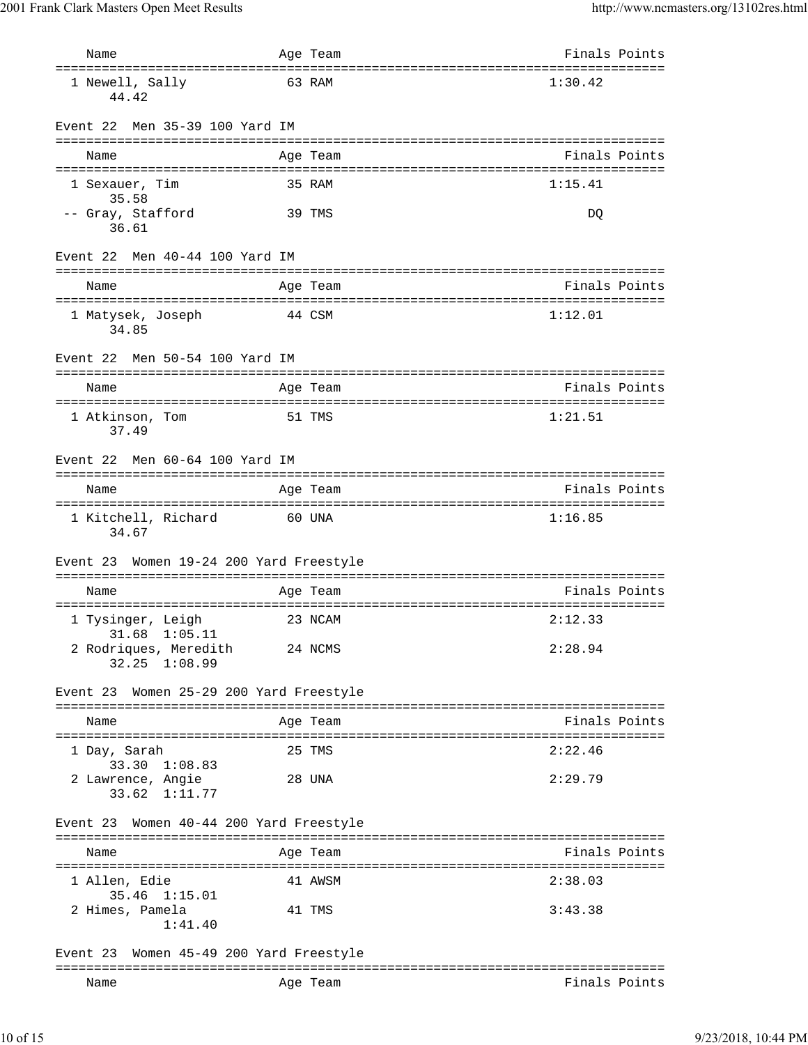| Name                                                           | Age Team                                        | Finals Points |
|----------------------------------------------------------------|-------------------------------------------------|---------------|
| ==============================<br>1 Newell, Sally<br>44.42     | =====================================<br>63 RAM | 1:30.42       |
| Men 35-39 100 Yard IM<br>Event 22                              |                                                 |               |
| Name                                                           | Age Team                                        | Finals Points |
| 1 Sexauer, Tim                                                 | 35 RAM                                          | 1:15.41       |
| 35.58<br>-- Gray, Stafford<br>36.61                            | 39 TMS                                          | DQ            |
| Event 22<br>Men 40-44 100 Yard IM                              |                                                 |               |
| Name                                                           | Age Team                                        | Finals Points |
| 1 Matysek, Joseph<br>34.85                                     | 44 CSM                                          | 1:12.01       |
| Event 22<br>Men 50-54 100 Yard IM                              |                                                 |               |
| Name                                                           | Age Team                                        | Finals Points |
| 1 Atkinson, Tom<br>37.49                                       | 51 TMS                                          | 1:21.51       |
| Men 60-64 100 Yard IM<br>Event 22                              |                                                 |               |
| Name                                                           | Age Team                                        | Finals Points |
| 1 Kitchell, Richard<br>34.67                                   | 60 UNA                                          | 1:16.85       |
| Event 23 Women 19-24 200 Yard Freestyle                        |                                                 |               |
| Name                                                           | Age Team                                        | Finals Points |
| 1 Tysinger, Leigh                                              | 23 NCAM                                         | 2:12.33       |
| 31.68<br>1:05.11<br>2 Rodriques, Meredith<br>$32.25$ $1:08.99$ | 24 NCMS                                         | 2:28.94       |
| Event 23 Women 25-29 200 Yard Freestyle                        |                                                 |               |
| Name                                                           | Age Team                                        | Finals Points |
| 1 Day, Sarah                                                   | 25 TMS                                          | 2:22.46       |
| 33.30 1:08.83<br>2 Lawrence, Angie<br>33.62 1:11.77            | 28 UNA                                          | 2:29.79       |
| Event 23 Women 40-44 200 Yard Freestyle                        |                                                 |               |
| Name                                                           | Age Team                                        | Finals Points |
| 1 Allen, Edie                                                  | 41 AWSM                                         | 2:38.03       |
| 35.46 1:15.01<br>2 Himes, Pamela<br>1:41.40                    | 41 TMS                                          | 3:43.38       |
| Women 45-49 200 Yard Freestyle<br>Event 23                     |                                                 |               |
| Name                                                           | Age Team                                        | Finals Points |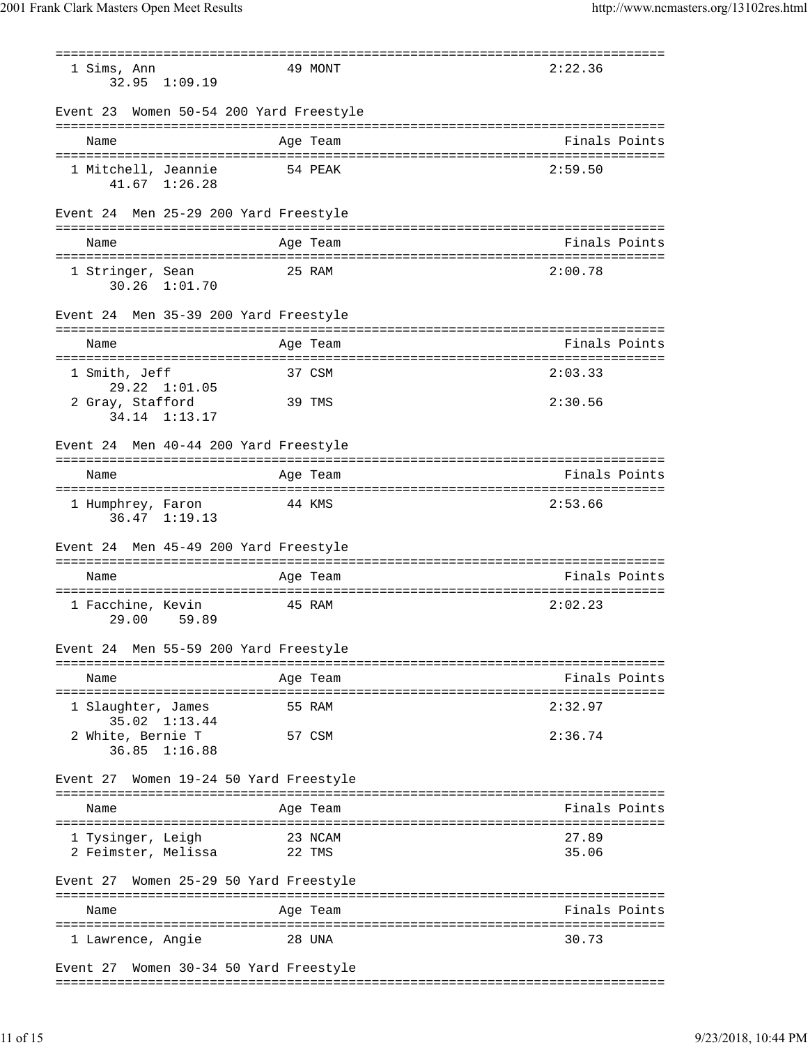=============================================================================== 1 Sims, Ann 49 MONT 2:22.36 32.95 1:09.19 Event 23 Women 50-54 200 Yard Freestyle =============================================================================== Name Age Team Finals Points =============================================================================== 1 Mitchell, Jeannie 54 PEAK 2:59.50 41.67 1:26.28 Event 24 Men 25-29 200 Yard Freestyle =============================================================================== Name **Age Team** Age Team Finals Points =============================================================================== 1 Stringer, Sean 25 RAM 2:00.78 30.26 1:01.70 Event 24 Men 35-39 200 Yard Freestyle =============================================================================== Name **Age Team** Age Team **Finals Points** =============================================================================== 1 Smith, Jeff 37 CSM 2:03.33 29.22 1:01.05 2 Gray, Stafford 39 TMS 2:30.56 34.14 1:13.17 Event 24 Men 40-44 200 Yard Freestyle =============================================================================== Name Age Team Age Team Finals Points =============================================================================== 1 Humphrey, Faron 44 KMS 2:53.66 36.47 1:19.13 Event 24 Men 45-49 200 Yard Freestyle =============================================================================== Name Age Team Age Team Finals Points =============================================================================== 1 Facchine, Kevin 45 RAM 2:02.23 29.00 59.89 Event 24 Men 55-59 200 Yard Freestyle =============================================================================== Name **Age Team Age Team** Rinals Points =============================================================================== 1 Slaughter, James 55 RAM 2:32.97 35.02 1:13.44 2 White, Bernie T 57 CSM 2:36.74 36.85 1:16.88 Event 27 Women 19-24 50 Yard Freestyle =============================================================================== Name Age Team Age Team Finals Points =============================================================================== 1 Tysinger, Leigh 23 NCAM 27.89 2 Feimster, Melissa 22 TMS 35.06 Event 27 Women 25-29 50 Yard Freestyle =============================================================================== Name Age Team Age Team Finals Points =============================================================================== 1 Lawrence, Angie 28 UNA 30.73 Event 27 Women 30-34 50 Yard Freestyle

===============================================================================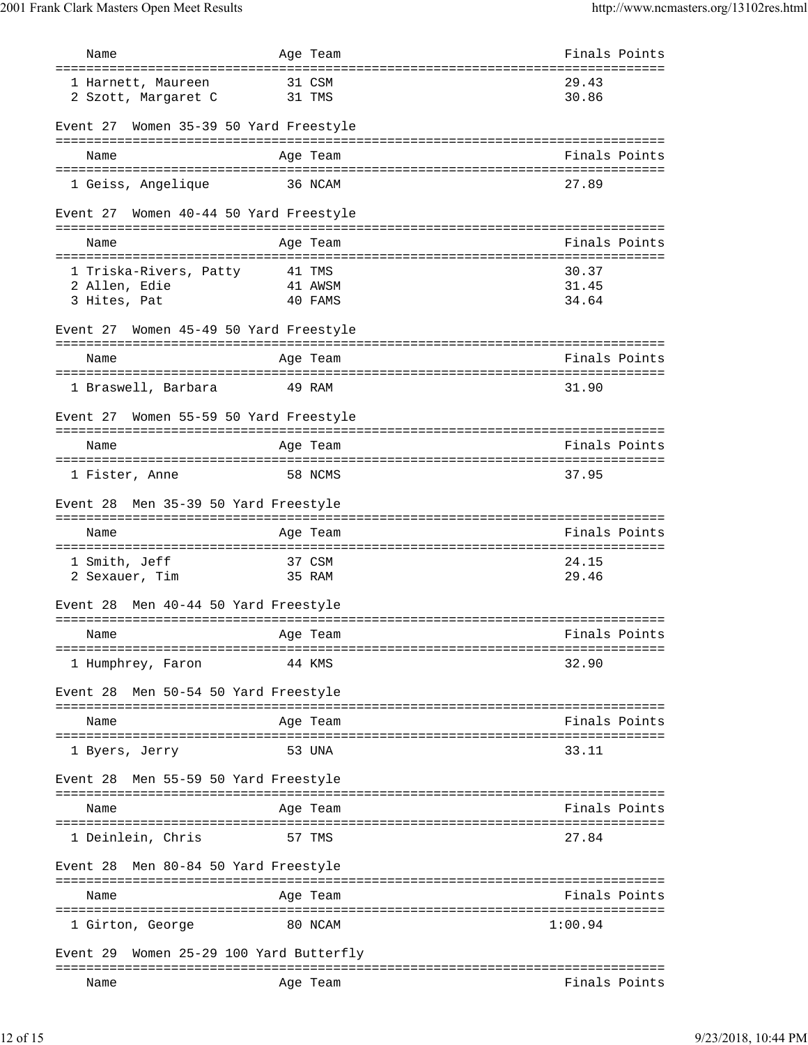| Name                                      | Age Team                       | Finals Points                                   |
|-------------------------------------------|--------------------------------|-------------------------------------------------|
| 1 Harnett, Maureen                        | 31 CSM                         | ======================================<br>29.43 |
| 2 Szott, Margaret C                       | 31 TMS                         | 30.86                                           |
|                                           |                                |                                                 |
| Event 27 Women 35-39 50 Yard Freestyle    |                                |                                                 |
| Name                                      | Age Team                       | Finals Points                                   |
|                                           |                                |                                                 |
| 1 Geiss, Angelique                        | 36 NCAM                        | 27.89                                           |
| Women 40-44 50 Yard Freestyle<br>Event 27 |                                |                                                 |
| Name                                      | Age Team                       | Finals Points                                   |
| ======================================    |                                | ====================================            |
| 1 Triska-Rivers, Patty                    | 41 TMS                         | 30.37                                           |
| 2 Allen, Edie<br>3 Hites, Pat             | 41 AWSM<br>40 FAMS             | 31.45<br>34.64                                  |
|                                           |                                |                                                 |
| Event 27 Women 45-49 50 Yard Freestyle    |                                |                                                 |
| Name                                      | Age Team                       | Finals Points                                   |
|                                           |                                |                                                 |
| 1 Braswell, Barbara                       | 49 RAM                         | 31.90                                           |
|                                           |                                |                                                 |
| Event 27 Women 55-59 50 Yard Freestyle    |                                |                                                 |
| Name                                      | Age Team                       | Finals Points                                   |
|                                           |                                |                                                 |
| 1 Fister, Anne                            | 58 NCMS                        | 37.95                                           |
| Event 28 Men 35-39 50 Yard Freestyle      |                                |                                                 |
|                                           |                                |                                                 |
| Name                                      | Age Team                       | Finals Points                                   |
| 1 Smith, Jeff                             | 37 CSM                         | 24.15                                           |
| 2 Sexauer, Tim                            | 35 RAM                         | 29.46                                           |
|                                           |                                |                                                 |
| Men 40-44 50 Yard Freestyle<br>Event 28   |                                |                                                 |
| Name                                      | Age Team                       | Finals Points                                   |
|                                           |                                |                                                 |
| 1 Humphrey, Faron                         | 44 KMS                         | 32.90                                           |
|                                           |                                |                                                 |
| Men 50-54 50 Yard Freestyle<br>Event 28   |                                |                                                 |
| Name                                      | Age Team                       | Finals Points                                   |
|                                           |                                |                                                 |
| 1 Byers, Jerry                            | 53 UNA                         | 33.11                                           |
| Men 55-59 50 Yard Freestyle<br>Event 28   |                                |                                                 |
|                                           |                                |                                                 |
| Name                                      | Age Team                       | Finals Points                                   |
| 1 Deinlein, Chris                         | 57 TMS                         | 27.84                                           |
|                                           |                                |                                                 |
| Men 80-84 50 Yard Freestyle<br>Event 28   |                                |                                                 |
|                                           |                                |                                                 |
| Name                                      | Aqe Team                       | Finals Points                                   |
| 1 Girton, George                          | 80 NCAM                        | 1:00.94                                         |
|                                           |                                |                                                 |
| Event 29                                  | Women 25-29 100 Yard Butterfly |                                                 |
| Name                                      | Age Team                       | Finals Points                                   |
|                                           |                                |                                                 |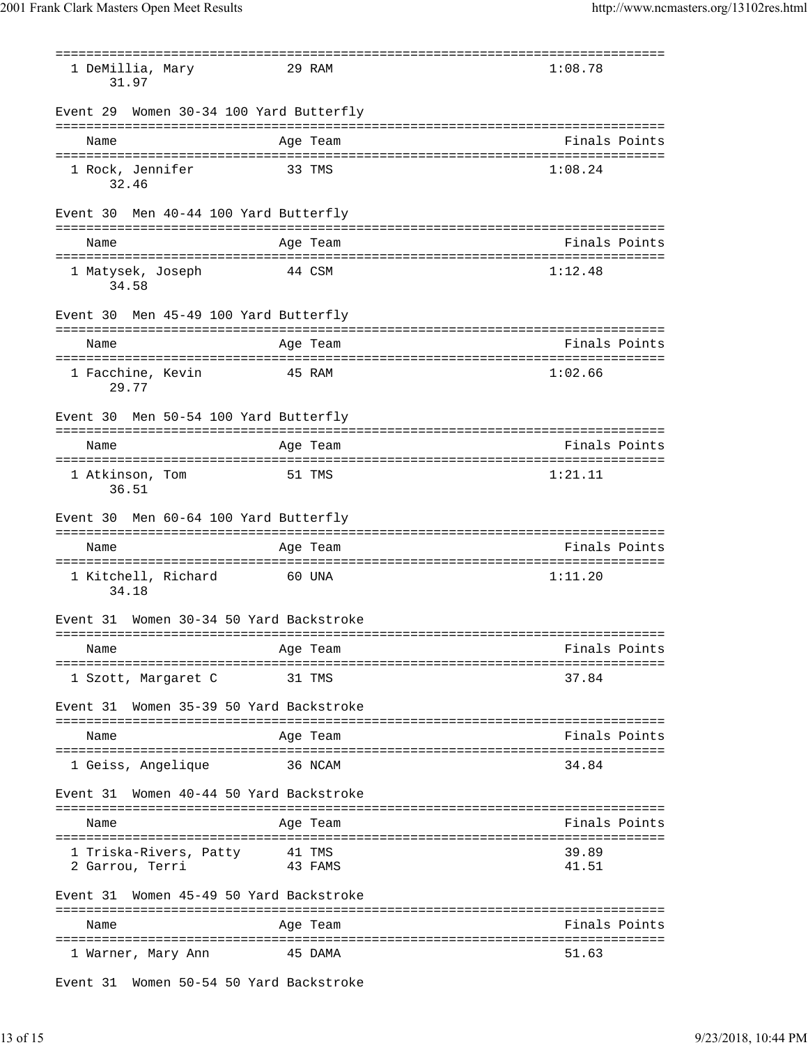=============================================================================== 1 DeMillia, Mary 29 RAM 1:08.78 31.97 Event 29 Women 30-34 100 Yard Butterfly =============================================================================== Name Age Team Finals Points =============================================================================== 1 Rock, Jennifer 33 TMS 1:08.24 32.46 Event 30 Men 40-44 100 Yard Butterfly =============================================================================== Name Age Team Finals Points =============================================================================== 1 Matysek, Joseph 44 CSM 1:12.48 34.58 Event 30 Men 45-49 100 Yard Butterfly =============================================================================== Name **Age Team** Age Team **Finals Points** =============================================================================== 1 Facchine, Kevin 45 RAM 1:02.66 29.77 Event 30 Men 50-54 100 Yard Butterfly =============================================================================== Name Age Team Finals Points =============================================================================== 1 Atkinson, Tom 51 TMS 1:21.11 36.51 Event 30 Men 60-64 100 Yard Butterfly =============================================================================== Name **Age Team Age Team** Rinals Points =============================================================================== 1 Kitchell, Richard 60 UNA 1:11.20 34.18 Event 31 Women 30-34 50 Yard Backstroke =============================================================================== Name **Age Team** Age Team **Finals Points** =============================================================================== 1 Szott, Margaret C 31 TMS 37.84 Event 31 Women 35-39 50 Yard Backstroke =============================================================================== Name Age Team Age Team Finals Points =============================================================================== 1 Geiss, Angelique 36 NCAM 34.84 Event 31 Women 40-44 50 Yard Backstroke =============================================================================== Name Age Team Age Team Finals Points =============================================================================== 1 Triska-Rivers, Patty 41 TMS 39.89 2 Garrou, Terri 43 FAMS 41.51 Event 31 Women 45-49 50 Yard Backstroke =============================================================================== Name **Age Team** Age Team Finals Points =============================================================================== 1 Warner, Mary Ann  $\overline{a}$  45 DAMA 51.63

Event 31 Women 50-54 50 Yard Backstroke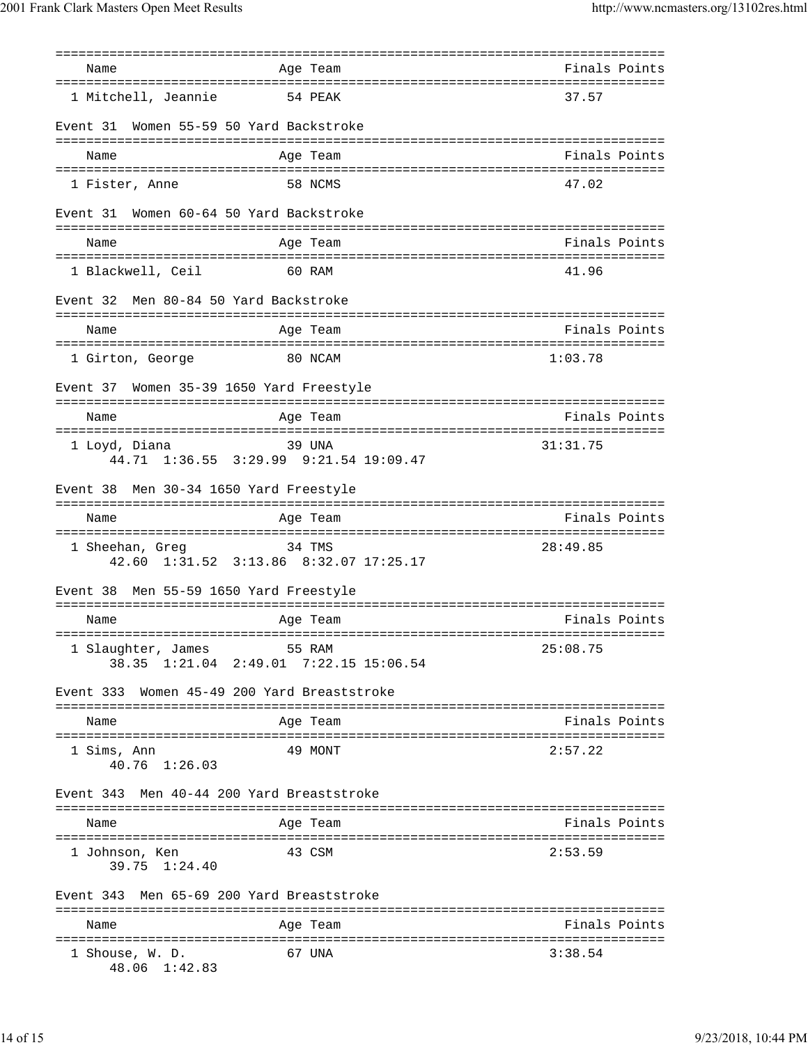| Name                                     | =========<br>Age Team                            | Finals Points |
|------------------------------------------|--------------------------------------------------|---------------|
|                                          |                                                  |               |
| 1 Mitchell, Jeannie                      | 54 PEAK                                          | 37.57         |
| Event 31                                 | Women 55-59 50 Yard Backstroke                   |               |
| Name                                     | Age Team                                         | Finals Points |
|                                          |                                                  |               |
| 1 Fister, Anne                           | 58 NCMS                                          | 47.02         |
| Event 31                                 | Women 60-64 50 Yard Backstroke                   |               |
| Name                                     | Age Team                                         | Finals Points |
| 1 Blackwell, Ceil                        | 60 RAM                                           | 41.96         |
| Men 80-84 50 Yard Backstroke<br>Event 32 |                                                  |               |
| Name                                     | Age Team                                         | Finals Points |
|                                          |                                                  |               |
| 1 Girton, George                         | 80 NCAM                                          | 1:03.78       |
| Event 37                                 | Women 35-39 1650 Yard Freestyle                  |               |
| ================<br>Name                 | Age Team                                         | Finals Points |
| ======================================   |                                                  |               |
| 1 Loyd, Diana                            | 39 UNA<br>44.71 1:36.55 3:29.99 9:21.54 19:09.47 | 31:31.75      |
| Event 38                                 | Men 30-34 1650 Yard Freestyle                    |               |
| Name                                     | Age Team                                         | Finals Points |
|                                          |                                                  |               |
| 1 Sheehan, Greg                          | 34 TMS<br>42.60 1:31.52 3:13.86 8:32.07 17:25.17 | 28:49.85      |
| Event 38                                 | Men 55-59 1650 Yard Freestyle                    |               |
| Name                                     | Age Team                                         | Finals Points |
|                                          |                                                  |               |
| 1 Slaughter, James                       | 55 RAM<br>38.35 1:21.04 2:49.01 7:22.15 15:06.54 | 25:08.75      |
| Event 333                                | Women 45-49 200 Yard Breaststroke                |               |
| Name                                     | Age Team                                         | Finals Points |
| 1 Sims, Ann<br>40.76 1:26.03             | 49 MONT                                          | 2:57.22       |
| Event 343                                | Men 40-44 200 Yard Breaststroke                  |               |
| Name                                     | Age Team                                         | Finals Points |
| 1 Johnson, Ken<br>39.75 1:24.40          | 43 CSM                                           | 2:53.59       |
| Event 343                                | Men 65-69 200 Yard Breaststroke                  |               |
| Name                                     | Age Team                                         | Finals Points |
|                                          |                                                  |               |
| l Shouse, W. D.<br>48.06 1:42.83         | 67 UNA                                           | 3:38.54       |